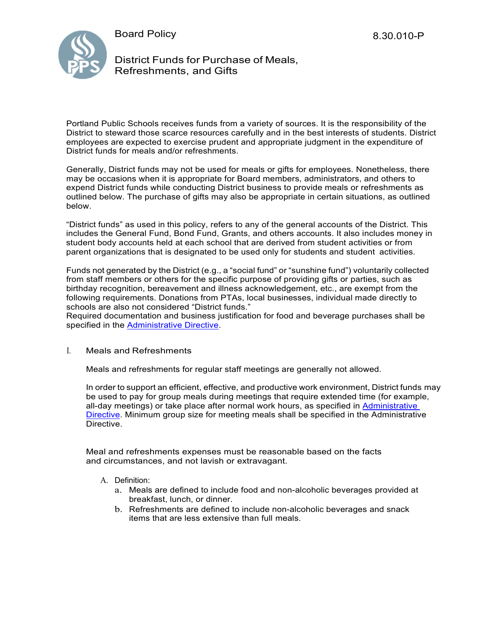



District Funds for Purchase of Meals, Refreshments, and Gifts

Portland Public Schools receives funds from a variety of sources. It is the responsibility of the District to steward those scarce resources carefully and in the best interests of students. District employees are expected to exercise prudent and appropriate judgment in the expenditure of District funds for meals and/or refreshments.

Generally, District funds may not be used for meals or gifts for employees. Nonetheless, there may be occasions when it is appropriate for Board members, administrators, and others to expend District funds while conducting District business to provide meals or refreshments as outlined below. The purchase of gifts may also be appropriate in certain situations, as outlined below.

"District funds" as used in this policy, refers to any of the general accounts of the District. This includes the General Fund, Bond Fund, Grants, and others accounts. It also includes money in student body accounts held at each school that are derived from student activities or from parent organizations that is designated to be used only for students and student activities.

Funds not generated by the District (e.g., a "social fund" or "sunshine fund") voluntarily collected from staff members or others for the specific purpose of providing gifts or parties, such as birthday recognition, bereavement and illness acknowledgement, etc., are exempt from the following requirements. Donations from PTAs, local businesses, individual made directly to schools are also not considered "District funds."

Required documentation and business justification for food and beverage purchases shall be specified in the [Administrative Directive.](https://www.pps.net/cms/lib/OR01913224/Centricity/Domain/4814/8.30.011-AD.pdf)

## I. Meals and Refreshments

Meals and refreshments for regular staff meetings are generally not allowed.

In order to support an efficient, effective, and productive work environment, District funds may be used to pay for group meals during meetings that require extended time (for example, all-day meetings) or take place after normal work hours, as specified in [Administrative](https://www.pps.net/cms/lib/OR01913224/Centricity/Domain/4814/8.30.011-AD.pdf)  [Directive.](https://www.pps.net/cms/lib/OR01913224/Centricity/Domain/4814/8.30.011-AD.pdf) Minimum group size for meeting meals shall be specified in the Administrative Directive.

Meal and refreshments expenses must be reasonable based on the facts and circumstances, and not lavish or extravagant.

## A. Definition:

- a. Meals are defined to include food and non-alcoholic beverages provided at breakfast, lunch, or dinner.
- b. Refreshments are defined to include non-alcoholic beverages and snack items that are less extensive than full meals.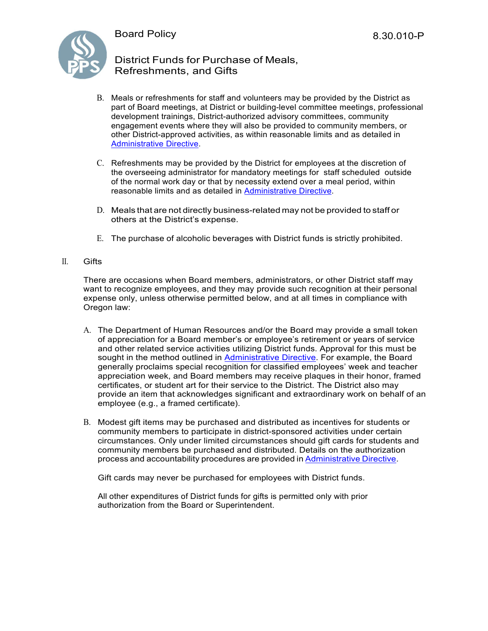

# District Funds for Purchase of Meals, Refreshments, and Gifts

- B. Meals or refreshments for staff and volunteers may be provided by the District as part of Board meetings, at District or building-level committee meetings, professional development trainings, District-authorized advisory committees, community engagement events where they will also be provided to community members, or other District-approved activities, as within reasonable limits and as detailed in [Administrative Directive.](https://www.pps.net/cms/lib/OR01913224/Centricity/Domain/4814/8.30.011-AD.pdf)
- C. Refreshments may be provided by the District for employees at the discretion of the overseeing administrator for mandatory meetings for staff scheduled outside of the normal work day or that by necessity extend over a meal period, within reasonable limits and as detailed in [Administrative Directive.](https://www.pps.net/cms/lib/OR01913224/Centricity/Domain/4814/8.30.011-AD.pdf)
- D. Meals that are not directly business-related may not be provided to staff or others at the District's expense.
- E. The purchase of alcoholic beverages with District funds is strictly prohibited.
- II. Gifts

There are occasions when Board members, administrators, or other District staff may want to recognize employees, and they may provide such recognition at their personal expense only, unless otherwise permitted below, and at all times in compliance with Oregon law:

- A. The Department of Human Resources and/or the Board may provide a small token of appreciation for a Board member's or employee's retirement or years of service and other related service activities utilizing District funds. Approval for this must be sought in the method outlined in [Administrative Directive.](https://www.pps.net/cms/lib/OR01913224/Centricity/Domain/4814/8.30.011-AD.pdf) For example, the Board generally proclaims special recognition for classified employees' week and teacher appreciation week, and Board members may receive plaques in their honor, framed certificates, or student art for their service to the District. The District also may provide an item that acknowledges significant and extraordinary work on behalf of an employee (e.g., a framed certificate).
- B. Modest gift items may be purchased and distributed as incentives for students or community members to participate in district-sponsored activities under certain circumstances. Only under limited circumstances should gift cards for students and community members be purchased and distributed. Details on the authorization process and accountability procedures are provided in [Administrative](https://www.pps.net/cms/lib/OR01913224/Centricity/Domain/4814/8.30.011-AD.pdf) Directive.

Gift cards may never be purchased for employees with District funds.

All other expenditures of District funds for gifts is permitted only with prior authorization from the Board or Superintendent.